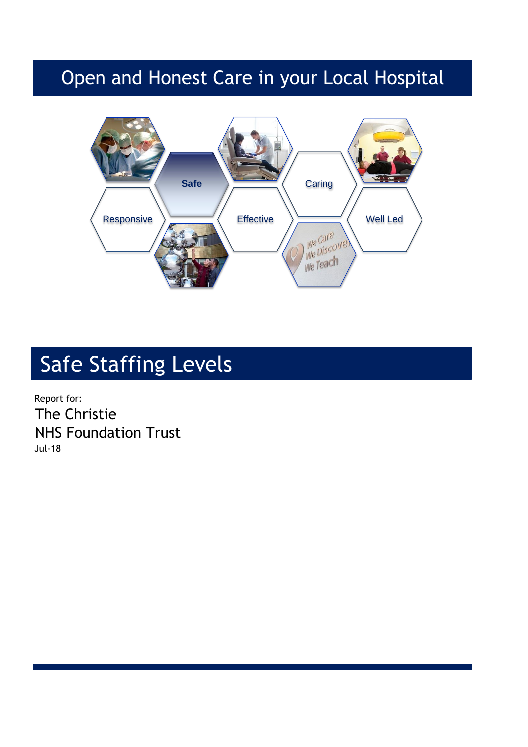## Open and Honest Care in your Local Hospital



# Safe Staffing Levels

Report for: The Christie NHS Foundation Trust Jul-18